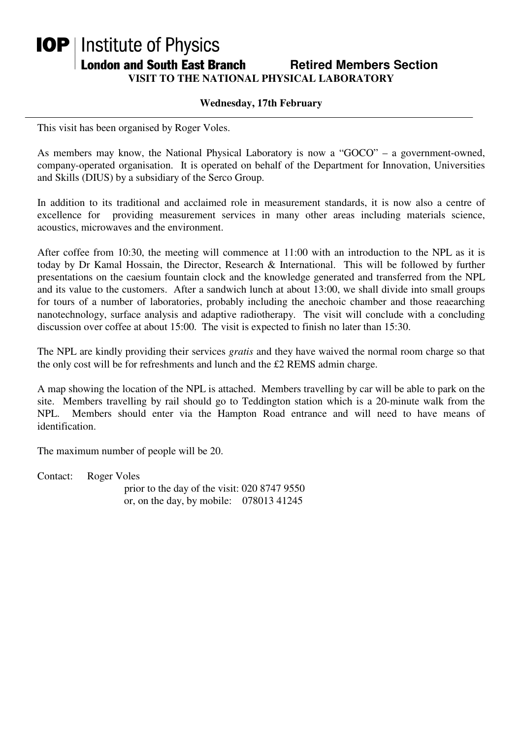## **IOP** | Institute of Physics **London and South East Branch Fighter Constructs Section Condom and South East Branch Fighter Retired Members Section VISIT TO THE NATIONAL PHYSICAL LABORATORY**

## **Wednesday, 17th February**

This visit has been organised by Roger Voles.

As members may know, the National Physical Laboratory is now a "GOCO" – a government-owned, company-operated organisation. It is operated on behalf of the Department for Innovation, Universities and Skills (DIUS) by a subsidiary of the Serco Group.

In addition to its traditional and acclaimed role in measurement standards, it is now also a centre of excellence for providing measurement services in many other areas including materials science, acoustics, microwaves and the environment.

After coffee from 10:30, the meeting will commence at 11:00 with an introduction to the NPL as it is today by Dr Kamal Hossain, the Director, Research & International. This will be followed by further presentations on the caesium fountain clock and the knowledge generated and transferred from the NPL and its value to the customers. After a sandwich lunch at about 13:00, we shall divide into small groups for tours of a number of laboratories, probably including the anechoic chamber and those reaearching nanotechnology, surface analysis and adaptive radiotherapy. The visit will conclude with a concluding discussion over coffee at about 15:00. The visit is expected to finish no later than 15:30.

The NPL are kindly providing their services *gratis* and they have waived the normal room charge so that the only cost will be for refreshments and lunch and the £2 REMS admin charge.

A map showing the location of the NPL is attached. Members travelling by car will be able to park on the site. Members travelling by rail should go to Teddington station which is a 20-minute walk from the NPL. Members should enter via the Hampton Road entrance and will need to have means of identification.

The maximum number of people will be 20.

Contact: Roger Voles prior to the day of the visit: 020 8747 9550 or, on the day, by mobile: 078013 41245